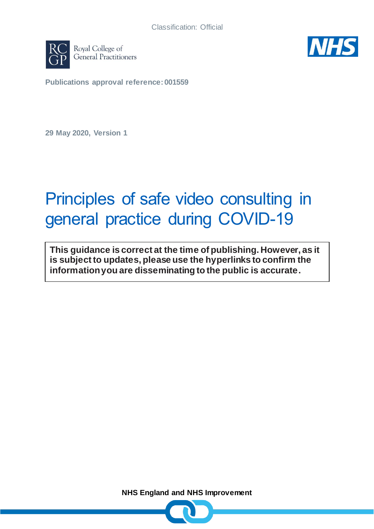



**Publications approval reference: 001559**

**29 May 2020, Version 1**

# Principles of safe video consulting in general practice during COVID-19

**This guidance is correct at the time of publishing. However, as it is subject to updates, please use the hyperlinks to confirm the information you are disseminating to the public is accurate.**

**NHS England and NHS Improvement**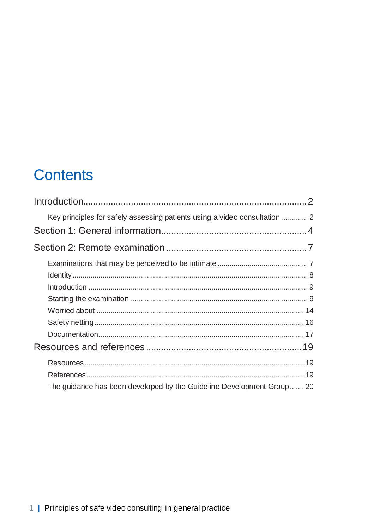## **Contents**

| Key principles for safely assessing patients using a video consultation  2 |
|----------------------------------------------------------------------------|
|                                                                            |
|                                                                            |
|                                                                            |
|                                                                            |
|                                                                            |
|                                                                            |
|                                                                            |
|                                                                            |
|                                                                            |
|                                                                            |
|                                                                            |
|                                                                            |
| The guidance has been developed by the Guideline Development Group 20      |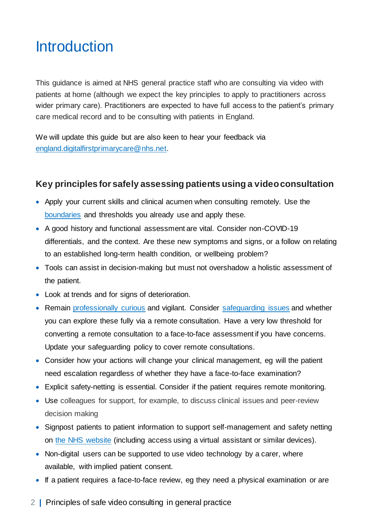## <span id="page-2-0"></span>**Introduction**

This guidance is aimed at NHS general practice staff who are consulting via video with patients at home (although we expect the key principles to apply to practitioners across wider primary care). Practitioners are expected to have full access to the patient's primary care medical record and to be consulting with patients in England.

We will update this guide but are also keen to hear your feedback via [england.digitalfirstprimarycare@nhs.net.](mailto:england.digitalfirstprimarycare@nhs.net)

### <span id="page-2-1"></span>**Key principles for safely assessing patients using a video consultation**

- Apply your current skills and clinical acumen when consulting remotely. Use the [boundaries](https://www.gmc-uk.org/ethical-guidance/ethical-guidance-for-doctors/maintaining-a-professional-boundary-between-you-and-your-patient) and thresholds you already use and apply these.
- A good history and functional assessment are vital. Consider non-COVID-19 differentials, and the context. Are these new symptoms and signs, or a follow on relating to an established long-term health condition, or wellbeing problem?
- Tools can assist in decision-making but must not overshadow a holistic assessment of the patient.
- Look at trends and for signs of deterioration.
- Remain [professionally curious](https://irisi.org/wp-content/uploads/2020/04/Guidance-for-General-Practice-Covid-19-FINAL.pdf) and vigilant. Consider [safeguarding issues](https://elearning.rcgp.org.uk/pluginfile.php/149508/mod_page/content/38/COVID-19%20and%20Safeguarding%20%286%29.pdf) and whether you can explore these fully via a remote consultation. Have a very low threshold for converting a remote consultation to a face-to-face assessment if you have concerns. Update your safeguarding policy to cover remote consultations.
- Consider how your actions will change your clinical management, eg will the patient need escalation regardless of whether they have a face-to-face examination?
- Explicit safety-netting is essential. Consider if the patient requires remote monitoring.
- Use colleagues for support, for example, to discuss clinical issues and peer-review decision making
- Signpost patients to patient information to support self-management and safety netting on [the](https://www.nhs.uk/) NHS website (including access using a virtual assistant or similar devices).
- Non-digital users can be supported to use video technology by a carer, where available, with implied patient consent.
- If a patient requires a face-to-face review, eg they need a physical examination or are
- 2 **|** Principles of safe video consulting in general practice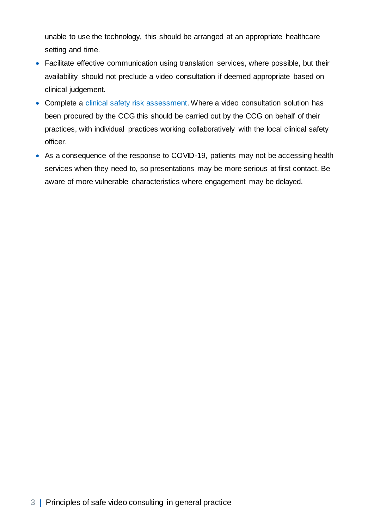unable to use the technology, this should be arranged at an appropriate healthcare setting and time.

- Facilitate effective communication using translation services, where possible, but their availability should not preclude a video consultation if deemed appropriate based on clinical judgement.
- Complete a [clinical safety risk assessment.](https://digital.nhs.uk/data-and-information/information-standards/information-standards-and-data-collections-including-extractions/publications-and-notifications/standards-and-collections/dcb0160-clinical-risk-management-its-application-in-the-deployment-and-use-of-health-it-systems) Where a video consultation solution has been procured by the CCG this should be carried out by the CCG on behalf of their practices, with individual practices working collaboratively with the local clinical safety officer.
- As a consequence of the response to COVID-19, patients may not be accessing health services when they need to, so presentations may be more serious at first contact. Be aware of more vulnerable characteristics where engagement may be delayed.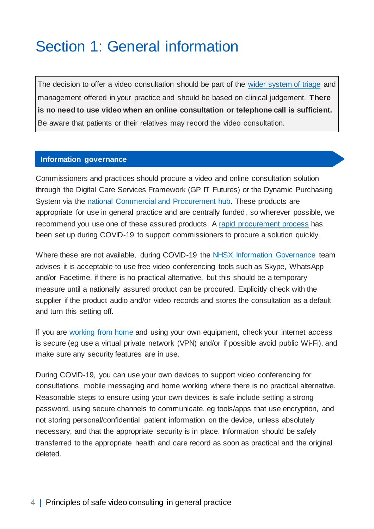## <span id="page-4-0"></span>Section 1: General information

The decision to offer a video consultation should be part of the [wider system of triage](https://www.england.nhs.uk/coronavirus/wp-content/uploads/sites/52/2020/03/C0098-Total-triage-blueprint-April-2020-v2.pdf) and management offered in your practice and should be based on clinical judgement. **There is no need to use video when an online consultation or telephone call is sufficient.**  Be aware that patients or their relatives may record the video consultation.

#### **Information governance**

Commissioners and practices should procure a video and online consultation solution through the Digital Care Services Framework (GP IT Futures) or the Dynamic Purchasing System via the [national Commercial and Procurement hub.](mailto:commercial.procurementhub@nhs.net.) These products are appropriate for use in general practice and are centrally funded, so wherever possible, we recommend you use one of these assured products. A [rapid procurement process](https://www.england.nhs.uk/coronavirus/wp-content/uploads/sites/52/2020/03/C0079-Suppliers-of-online-and-video-consultations.pdf) has been set up during COVID-19 to support commissioners to procure a solution quickly.

Where these are not available, during COVID-19 the NHSX Information [Governance](https://www.nhsx.nhs.uk/covid-19-response/data-and-information-governance/information-governance/covid-19-information-governance-advice-health-and-care-professionals/) team advises it is acceptable to use free video conferencing tools such as Skype, WhatsApp and/or Facetime, if there is no practical alternative, but this should be a temporary measure until a nationally assured product can be procured. Explicitly check with the supplier if the product audio and/or video records and stores the consultation as a default and turn this setting off.

If you are [working from home](https://www.england.nhs.uk/coronavirus/wp-content/uploads/sites/52/2020/03/C0165-remote-working-in-primary-care-gp-practices-during-covid-19-v1.2.pdf) and using your own equipment, check your internet access is secure (eg use a virtual private network (VPN) and/or if possible avoid public Wi-Fi), and make sure any security features are in use.

During COVID-19, you can use your own devices to support video conferencing for consultations, mobile messaging and home working where there is no practical alternative. Reasonable steps to ensure using your own devices is safe include setting a strong password, using secure channels to communicate, eg tools/apps that use encryption, and not storing personal/confidential patient information on the device, unless absolutely necessary, and that the appropriate security is in place. Information should be safely transferred to the appropriate health and care record as soon as practical and the original deleted.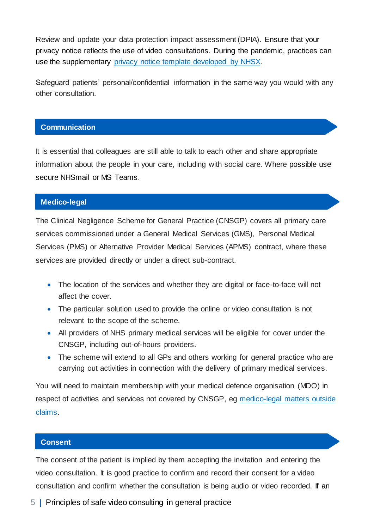Review and update your data protection impact assessment (DPIA). Ensure that your privacy notice reflects the use of video consultations. During the pandemic, practices can use the supplementary [privacy notice template developed by NHSX.](https://www.nhsx.nhs.uk/media/documents/Covid19_Example_Privacy_Notice.pdf)

Safeguard patients' personal/confidential information in the same way you would with any other consultation.

#### **Communication**

It is essential that colleagues are still able to talk to each other and share appropriate information about the people in your care, including with social care. Where possible use secure NHSmail or MS Teams.

#### **Medico-legal**

The Clinical Negligence Scheme for General Practice (CNSGP) covers all primary care services commissioned under a General Medical Services (GMS), Personal Medical Services (PMS) or Alternative Provider Medical Services (APMS) contract, where these services are provided directly or under a direct sub-contract.

- The location of the services and whether they are digital or face-to-face will not affect the cover.
- The particular solution used to provide the online or video consultation is not relevant to the scope of the scheme.
- All providers of NHS primary medical services will be eligible for cover under the CNSGP, including out-of-hours providers.
- The scheme will extend to all GPs and others working for general practice who are carrying out activities in connection with the delivery of primary medical services.

You will need to maintain membership with your medical defence organisation (MDO) in respect of activities and services not covered by CNSGP, eg medico-legal matters outside [claims.](https://resolution.nhs.uk/faq-section/clinical-negligence-scheme-for-general-practice/)

#### **Consent**

The consent of the patient is implied by them accepting the invitation and entering the video consultation. It is good practice to confirm and record their consent for a video consultation and confirm whether the consultation is being audio or video recorded. If an

5 **|** Principles of safe video consulting in general practice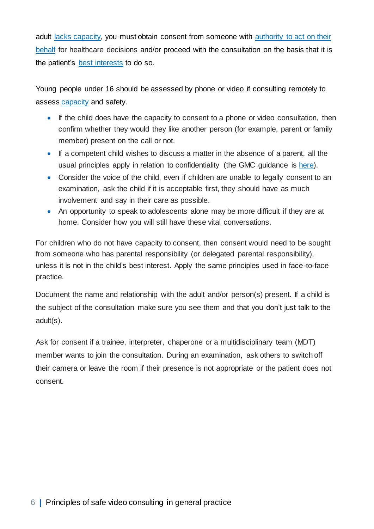adult [lacks capacity,](https://www.legislation.gov.uk/ukpga/2005/9/section/2) you must obtain consent from someone with [authority to act on their](https://www.legislation.gov.uk/ukpga/2005/9/part/1/crossheading/lasting-powers-of-attorney)  [behalf](https://www.legislation.gov.uk/ukpga/2005/9/part/1/crossheading/lasting-powers-of-attorney) for healthcare decisions and/or proceed with the consultation on the basis that it is the patient's [best interests](https://www.legislation.gov.uk/ukpga/2005/9/section/4) to do so.

Young people under 16 should be assessed by phone or video if consulting remotely to assess [capacity](https://www.gmc-uk.org/ethical-guidance/ethical-guidance-for-doctors/0-18-years/making-decisions#paragraph-24) and safety.

- If the child does have the capacity to consent to a phone or video consultation, then confirm whether they would they like another person (for example, parent or family member) present on the call or not.
- If a competent child wishes to discuss a matter in the absence of a parent, all the usual principles apply in relation to confidentiality (the GMC guidance is [here\)](https://www.gmc-uk.org/ethical-guidance/ethical-guidance-for-doctors/0-18-years/principles-of-confidentiality).
- Consider the voice of the child, even if children are unable to legally consent to an examination, ask the child if it is acceptable first, they should have as much involvement and say in their care as possible.
- An opportunity to speak to adolescents alone may be more difficult if they are at home. Consider how you will still have these vital conversations.

For children who do not have capacity to consent, then consent would need to be sought from someone who has parental responsibility (or delegated parental responsibility), unless it is not in the child's best interest. Apply the same principles used in face-to-face practice.

Document the name and relationship with the adult and/or person(s) present. If a child is the subject of the consultation make sure you see them and that you don't just talk to the adult(s).

Ask for consent if a trainee, interpreter, chaperone or a multidisciplinary team (MDT) member wants to join the consultation. During an examination, ask others to switch off their camera or leave the room if their presence is not appropriate or the patient does not consent.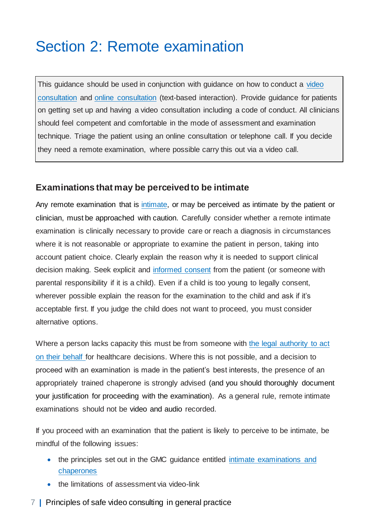## <span id="page-7-0"></span>Section 2: Remote examination

This guidance should be used in conjunction with guidance on how to conduct a video [consultation](https://bjgp.org/sites/default/files/advanced-pages/20Mar_COVID_VideoConsultations.pdf) and [online consultation](https://www.england.nhs.uk/coronavirus/wp-content/uploads/sites/52/2020/03/C0098-Total-triage-blueprint-April-2020-v2.pdf) (text-based interaction). Provide guidance for patients on getting set up and having a video consultation including a code of conduct. All clinicians should feel competent and comfortable in the mode of assessment and examination technique. Triage the patient using an online consultation or telephone call. If you decide they need a remote examination, where possible carry this out via a video call.

### <span id="page-7-1"></span>**Examinations that may be perceived to be intimate**

Any remote examination that is [intimate,](https://www.gmc-uk.org/-/media/documents/maintaining-boundaries-intimate-examinations-and-chaperones_pdf-58835231.pdf?la=en&hash=A6DCCA363F989E0304D17FBC4ECB9C1060028385) or may be perceived as intimate by the patient or clinician, must be approached with caution. Carefully consider whether a remote intimate examination is clinically necessary to provide care or reach a diagnosis in circumstances where it is not reasonable or appropriate to examine the patient in person, taking into account patient choice. Clearly explain the reason why it is needed to support clinical decision making. Seek explicit and [informed consent](https://www.gmc-uk.org/ethical-guidance/ethical-guidance-for-doctors/intimate-examinations-and-chaperones/intimate-examinations-and-chaperones) from the patient (or someone with parental responsibility if it is a child). Even if a child is too young to legally consent, wherever possible explain the reason for the examination to the child and ask if it's acceptable first. If you judge the child does not want to proceed, you must consider alternative options.

Where a person lacks capacity this must be from someone with [the legal authority to act](https://gbr01.safelinks.protection.outlook.com/?url=https%3A%2F%2Fwww.legislation.gov.uk%2Fukpga%2F2005%2F9%2Fpart%2F1%2Fcrossheading%2Flasting-powers-of-attorney&data=02%7C01%7CTim.Ballard%40cqc.org.uk%7Ce277c2dd2838422070b808d7f7294b24%7Ca55dcab8ce6645eaab3f65bc2b07b5d3%7C1%7C0%7C637249630828569634&sdata=3DrzLFrykJIAkkb0cT2YQ8adJH97LYT8UnT4hIvAMSo%3D&reserved=0)  [on their behalf](https://gbr01.safelinks.protection.outlook.com/?url=https%3A%2F%2Fwww.legislation.gov.uk%2Fukpga%2F2005%2F9%2Fpart%2F1%2Fcrossheading%2Flasting-powers-of-attorney&data=02%7C01%7CTim.Ballard%40cqc.org.uk%7Ce277c2dd2838422070b808d7f7294b24%7Ca55dcab8ce6645eaab3f65bc2b07b5d3%7C1%7C0%7C637249630828569634&sdata=3DrzLFrykJIAkkb0cT2YQ8adJH97LYT8UnT4hIvAMSo%3D&reserved=0) for healthcare decisions. Where this is not possible, and a decision to proceed with an examination is made in the patient's best interests, the presence of an appropriately trained chaperone is strongly advised (and you should thoroughly document your justification for proceeding with the examination). As a general rule, remote intimate examinations should not be video and audio recorded.

If you proceed with an examination that the patient is likely to perceive to be intimate, be mindful of the following issues:

- the principles set out in the GMC quidance entitled intimate examinations and [chaperones](https://www.gmc-uk.org/ethical-guidance/ethical-guidance-for-doctors/intimate-examinations-and-chaperones)
- the limitations of assessment via video-link
- 7 **|** Principles of safe video consulting in general practice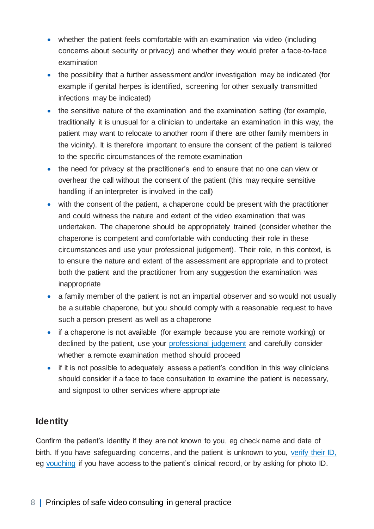- whether the patient feels comfortable with an examination via video (including concerns about security or privacy) and whether they would prefer a face-to-face examination
- the possibility that a further assessment and/or investigation may be indicated (for example if genital herpes is identified, screening for other sexually transmitted infections may be indicated)
- the sensitive nature of the examination and the examination setting (for example, traditionally it is unusual for a clinician to undertake an examination in this way, the patient may want to relocate to another room if there are other family members in the vicinity). It is therefore important to ensure the consent of the patient is tailored to the specific circumstances of the remote examination
- the need for privacy at the practitioner's end to ensure that no one can view or overhear the call without the consent of the patient (this may require sensitive handling if an interpreter is involved in the call)
- with the consent of the patient, a chaperone could be present with the practitioner and could witness the nature and extent of the video examination that was undertaken. The chaperone should be appropriately trained (consider whether the chaperone is competent and comfortable with conducting their role in these circumstances and use your professional judgement). Their role, in this context, is to ensure the nature and extent of the assessment are appropriate and to protect both the patient and the practitioner from any suggestion the examination was inappropriate
- a family member of the patient is not an impartial observer and so would not usually be a suitable chaperone, but you should comply with a reasonable request to have such a person present as well as a chaperone
- if a chaperone is not available (for example because you are remote working) or declined by the patient, use your [professional judgement](https://www.gmc-uk.org/ethical-guidance/ethical-guidance-for-doctors/intimate-examinations-and-chaperones/intimate-examinations-and-chaperones) and carefully consider whether a remote examination method should proceed
- if it is not possible to adequately assess a patient's condition in this way clinicians should consider if a face to face consultation to examine the patient is necessary, and signpost to other services where appropriate

## <span id="page-8-0"></span>**Identity**

Confirm the patient's identity if they are not known to you, eg check name and date of birth. If you have safeguarding concerns, and the patient is unknown to you, [verify their ID,](https://www.england.nhs.uk/wp-content/uploads/2015/03/identity-verification.pdf) eg [vouching](https://www.rcgp.org.uk/-/media/48FBB97432F14494B6F195DF2FDAFB56.ashx) if you have access to the patient's clinical record, or by asking for photo ID.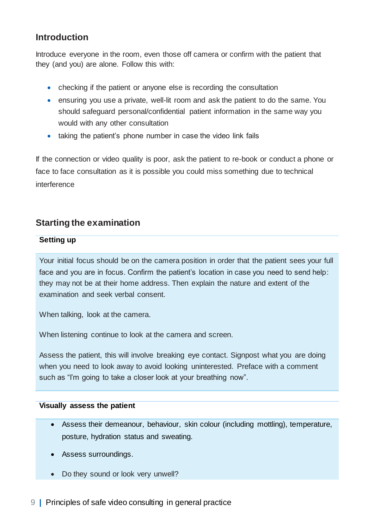## <span id="page-9-0"></span>**Introduction**

Introduce everyone in the room, even those off camera or confirm with the patient that they (and you) are alone. Follow this with:

- checking if the patient or anyone else is recording the consultation
- ensuring you use a private, well-lit room and ask the patient to do the same. You should safeguard personal/confidential patient information in the same way you would with any other consultation
- taking the patient's phone number in case the video link fails

If the connection or video quality is poor, ask the patient to re-book or conduct a phone or face to face consultation as it is possible you could miss something due to technical interference

### <span id="page-9-1"></span>**Starting the examination**

#### **Setting up**

Your initial focus should be on the camera position in order that the patient sees your full face and you are in focus. Confirm the patient's location in case you need to send help: they may not be at their home address. Then explain the nature and extent of the examination and seek verbal consent.

When talking, look at the camera.

When listening continue to look at the camera and screen.

Assess the patient, this will involve breaking eye contact. Signpost what you are doing when you need to look away to avoid looking uninterested. Preface with a comment such as "I'm going to take a closer look at your breathing now".

#### **Visually assess the patient**

- Assess their demeanour, behaviour, skin colour (including mottling), temperature, posture, hydration status and sweating.
- Assess surroundings.
- Do they sound or look very unwell?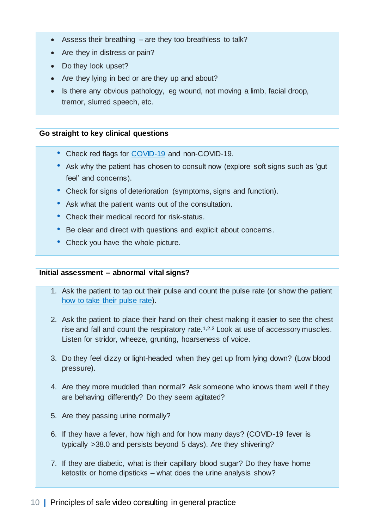- Assess their breathing are they too breathless to talk?
- Are they in distress or pain?
- Do they look upset?
- Are they lying in bed or are they up and about?
- Is there any obvious pathology, eg wound, not moving a limb, facial droop, tremor, slurred speech, etc.

#### **Go straight to key clinical questions**

- Check red flags for [COVID-19](https://www.bmj.com/content/bmj/368/bmj.m1182/F1.large.jpg) and non-COVID-19.
- Ask why the patient has chosen to consult now (explore soft signs such as 'qut feel' and concerns).
- Check for signs of deterioration (symptoms, signs and function).
- Ask what the patient wants out of the consultation.
- Check their medical record for risk-status.
- Be clear and direct with questions and explicit about concerns.
- Check you have the whole picture.

#### **Initial assessment – abnormal vital signs?**

- 1. Ask the patient to tap out their pulse and count the pulse rate (or show the patient [how to take their pulse rate\)](https://www.nhs.uk/common-health-questions/accidents-first-aid-and-treatments/how-do-i-check-my-pulse/).
- 2. Ask the patient to place their hand on their chest making it easier to see the chest rise and fall and count the respiratory rate.<sup>1,2,3</sup> Look at use of accessory muscles. Listen for stridor, wheeze, grunting, hoarseness of voice.
- 3. Do they feel dizzy or light-headed when they get up from lying down? (Low blood pressure).
- 4. Are they more muddled than normal? Ask someone who knows them well if they are behaving differently? Do they seem agitated?
- 5. Are they passing urine normally?
- 6. If they have a fever, how high and for how many days? (COVID-19 fever is typically >38.0 and persists beyond 5 days). Are they shivering?
- 7. If they are diabetic, what is their capillary blood sugar? Do they have home ketostix or home dipsticks – what does the urine analysis show?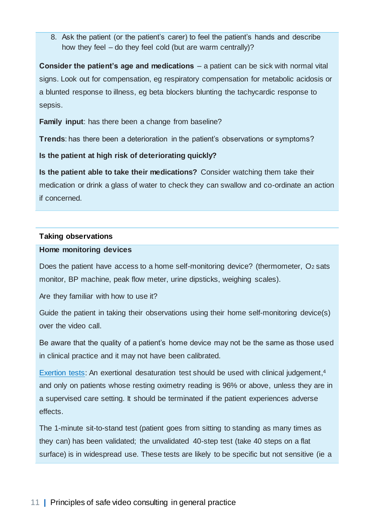8. Ask the patient (or the patient's carer) to feel the patient's hands and describe how they feel – do they feel cold (but are warm centrally)?

**Consider the patient's age and medications** – a patient can be sick with normal vital signs. Look out for compensation, eg respiratory compensation for metabolic acidosis or a blunted response to illness, eg beta blockers blunting the tachycardic response to sepsis.

**Family input**: has there been a change from baseline?

**Trends**: has there been a deterioration in the patient's observations or symptoms?

**Is the patient at high risk of deteriorating quickly?** 

**Is the patient able to take their medications?** Consider watching them take their medication or drink a glass of water to check they can swallow and co-ordinate an action if concerned.

#### **Taking observations**

#### **Home monitoring devices**

Does the patient have access to a home self-monitoring device? (thermometer,  $O_2$  sats monitor, BP machine, peak flow meter, urine dipsticks, weighing scales).

Are they familiar with how to use it?

Guide the patient in taking their observations using their home self-monitoring device(s) over the video call.

Be aware that the quality of a patient's home device may not be the same as those used in clinical practice and it may not have been calibrated.

[Exertion tests:](https://www.cebm.net/covid-19/what-is-the-efficacy-and-safety-of-rapid-exercise-tests-for-exertional-desaturation-in-covid-19/) An exertional desaturation test should be used with clinical judgement,<sup>4</sup> and only on patients whose resting oximetry reading is 96% or above, unless they are in a supervised care setting. It should be terminated if the patient experiences adverse effects.

The 1-minute sit-to-stand test (patient goes from sitting to standing as many times as they can) has been validated; the unvalidated 40-step test (take 40 steps on a flat surface) is in widespread use. These tests are likely to be specific but not sensitive (ie a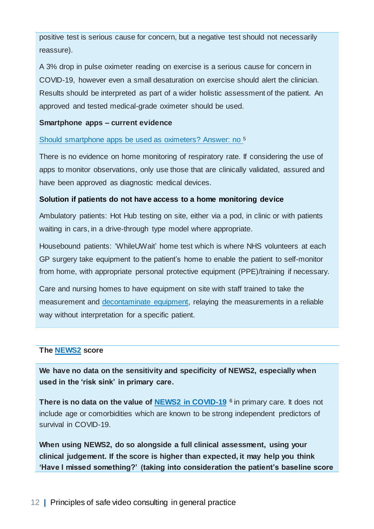positive test is serious cause for concern, but a negative test should not necessarily reassure).

A 3% drop in pulse oximeter reading on exercise is a serious cause for concern in COVID-19, however even a small desaturation on exercise should alert the clinician. Results should be interpreted as part of a wider holistic assessment of the patient. An approved and tested medical-grade oximeter should be used.

#### **Smartphone apps – current evidence**

[Should smartphone apps be used as oximeters? Answer: no](https://www.cebm.net/covid-19/question-should-smartphone-apps-be-used-as-oximeters-answer-no/) <sup>5</sup>

There is no evidence on home monitoring of respiratory rate. If considering the use of apps to monitor observations, only use those that are clinically validated, assured and have been approved as diagnostic medical devices.

#### **Solution if patients do not have access to a home monitoring device**

Ambulatory patients: Hot Hub testing on site, either via a pod, in clinic or with patients waiting in cars, in a drive-through type model where appropriate.

Housebound patients: 'WhileUWait' home test which is where NHS volunteers at each GP surgery take equipment to the patient's home to enable the patient to self-monitor from home, with appropriate personal protective equipment (PPE)/training if necessary.

Care and nursing homes to have equipment on site with staff trained to take the measurement and [decontaminate equipment,](https://assets.publishing.service.gov.uk/government/uploads/system/uploads/attachment_data/file/877533/Routine_decontamination_of_reusable_noninvasive_equipment.pdf) relaying the measurements in a reliable way without interpretation for a specific patient.

#### **The [NEWS2](https://elearning.rcgp.org.uk/mod/page/view.php?id=10568) score**

**We have no data on the sensitivity and specificity of NEWS2, especially when used in the 'risk sink' in primary care.**

**There is no data on the value of [NEWS2 in COVID-19](https://www.cebm.net/covid-19/should-we-use-the-news-or-news2-score-when-assessing-patients-with-possible-covid-19-in-primary-care/)** <sup>6</sup> in primary care. It does not include age or comorbidities which are known to be strong independent predictors of survival in COVID-19.

**When using NEWS2, do so alongside a full clinical assessment, using your clinical judgement. If the score is higher than expected, it may help you think 'Have I missed something?' (taking into consideration the patient's baseline score**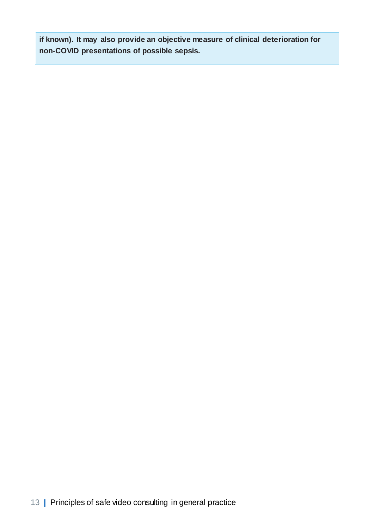**if known). It may also provide an objective measure of clinical deterioration for non-COVID presentations of possible sepsis.**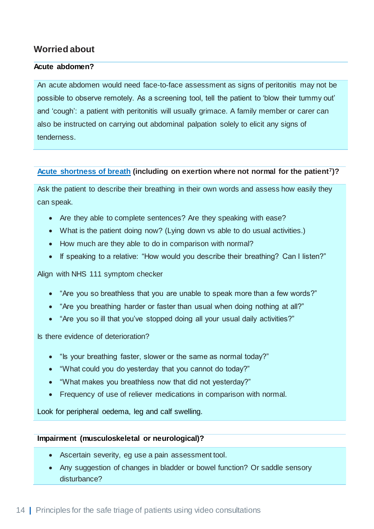## <span id="page-14-0"></span>**Worried about**

#### **Acute abdomen?**

An acute abdomen would need face-to-face assessment as signs of peritonitis may not be possible to observe remotely. As a screening tool, tell the patient to 'blow their tummy out' and 'cough': a patient with peritonitis will usually grimace. A family member or carer can also be instructed on carrying out abdominal palpation solely to elicit any signs of tenderness.

#### **[Acute shortness of breath](https://www.cebm.net/covid-19/are-there-any-evidence-based-ways-of-assessing-dyspnoea-breathlessness-by-telephone-or-video/) (including on exertion where not normal for the patient7)?**

Ask the patient to describe their breathing in their own words and assess how easily they can speak.

- Are they able to complete sentences? Are they speaking with ease?
- What is the patient doing now? (Lying down vs able to do usual activities.)
- How much are they able to do in comparison with normal?
- If speaking to a relative: "How would you describe their breathing? Can I listen?"

#### Align with NHS 111 symptom checker

- "Are you so breathless that you are unable to speak more than a few words?"
- "Are you breathing harder or faster than usual when doing nothing at all?"
- "Are you so ill that you've stopped doing all your usual daily activities?"

Is there evidence of deterioration?

- "Is your breathing faster, slower or the same as normal today?"
- "What could you do yesterday that you cannot do today?"
- "What makes you breathless now that did not yesterday?"
- Frequency of use of reliever medications in comparison with normal.

Look for peripheral oedema, leg and calf swelling.

#### **Impairment (musculoskeletal or neurological)?**

- Ascertain severity, eg use a pain assessment tool.
- Any suggestion of changes in bladder or bowel function? Or saddle sensory disturbance?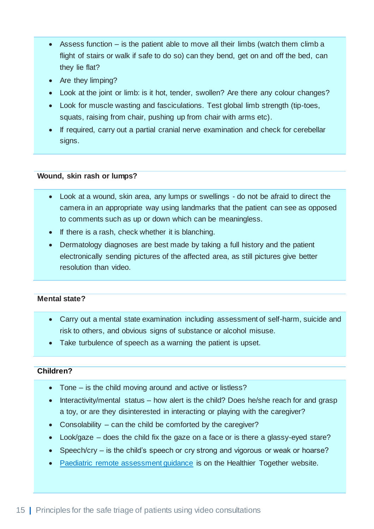- Assess function is the patient able to move all their limbs (watch them climb a flight of stairs or walk if safe to do so) can they bend, get on and off the bed, can they lie flat?
- Are they limping?
- Look at the joint or limb: is it hot, tender, swollen? Are there any colour changes?
- Look for muscle wasting and fasciculations. Test global limb strength (tip-toes, squats, raising from chair, pushing up from chair with arms etc).
- If required, carry out a partial cranial nerve examination and check for cerebellar signs.

#### **Wound, skin rash or lumps?**

- Look at a wound, skin area, any lumps or swellings do not be afraid to direct the camera in an appropriate way using landmarks that the patient can see as opposed to comments such as up or down which can be meaningless.
- If there is a rash, check whether it is blanching.
- Dermatology diagnoses are best made by taking a full history and the patient electronically sending pictures of the affected area, as still pictures give better resolution than video.

#### **Mental state?**

- Carry out a mental state examination including assessment of self-harm, suicide and risk to others, and obvious signs of substance or alcohol misuse.
- Take turbulence of speech as a warning the patient is upset.

#### **Children?**

- Tone is the child moving around and active or listless?
- Interactivity/mental status how alert is the child? Does he/she reach for and grasp a toy, or are they disinterested in interacting or playing with the caregiver?
- Consolability can the child be comforted by the caregiver?
- Look/gaze does the child fix the gaze on a face or is there a glassy-eyed stare?
- Speech/cry is the child's speech or cry strong and vigorous or weak or hoarse?
- [Paediatric remote assessment guidance](https://what0-18.nhs.uk/professionals/gp-primary-care-staff/clinical-pathways/clinical-pathways-remote-assessment) [i](https://what0-18.nhs.uk/professionals/gp-primary-care-staff/clinical-pathways/clinical-pathways-remote-assessment)s on the Healthier Together website.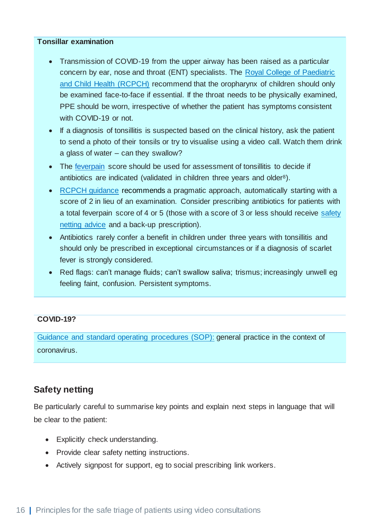#### **Tonsillar examination**

- Transmission of COVID-19 from the upper airway has been raised as a particular concern by ear, nose and throat (ENT) specialists. The [Royal College of Paediatric](https://www.rcpch.ac.uk/resources/covid-19-guidance-paediatric-services#tonsillar-examination---infection-control-implications)  [and Child Health \(RCPCH\)](https://www.rcpch.ac.uk/resources/covid-19-guidance-paediatric-services#tonsillar-examination---infection-control-implications) recommend that the oropharynx of children should only be examined face-to-face if essential. If the throat needs to be physically examined, PPE should be worn, irrespective of whether the patient has symptoms consistent with COVID-19 or not.
- If a diagnosis of tonsillitis is suspected based on the clinical history, ask the patient to send a photo of their tonsils or try to visualise using a video call. Watch them drink a glass of water – can they swallow?
- The [feverpain](https://ctu1.phc.ox.ac.uk/feverpain/index.php) [s](https://ctu1.phc.ox.ac.uk/feverpain/index.php)core should be used for assessment of tonsillitis to decide if antibiotics are indicated (validated in children three years and older<sup>8</sup>).
- [RCPCH guidance](http://coronavirus.wel.nhs.sitekit.net/downloads/Tonsillar%20examination.pdf) recommends a pragmatic approach, automatically starting with a score of 2 in lieu of an examination. Consider prescribing antibiotics for patients with a total feverpain score of 4 or 5 (those with a score of 3 or less should receive [safety](https://what0-18.nhs.uk/professionals/gp-primary-care-staff/safety-netting-documents-parents/sore-throat-advice-sheet)  [netting advice](https://what0-18.nhs.uk/professionals/gp-primary-care-staff/safety-netting-documents-parents/sore-throat-advice-sheet) and a back-up prescription).
- Antibiotics rarely confer a benefit in children under three years with tonsillitis and should only be prescribed in exceptional circumstances or if a diagnosis of scarlet fever is strongly considered.
- Red flags: can't manage fluids; can't swallow saliva; trismus; increasingly unwell eg feeling faint, confusion. Persistent symptoms.

#### **COVID-19?**

[Guidance and standard operating procedures \(SOP\):](https://www.england.nhs.uk/coronavirus/wp-content/uploads/sites/52/2020/03/C0133-COVID-19-Primary-Care-SOP-GP-practice_V2.1_6-April.pdf) general practice in the context of coronavirus.

## <span id="page-16-0"></span>**Safety netting**

Be particularly careful to summarise key points and explain next steps in language that will be clear to the patient:

- Explicitly check understanding.
- Provide clear safety netting instructions.
- Actively signpost for support, eg to social prescribing link workers.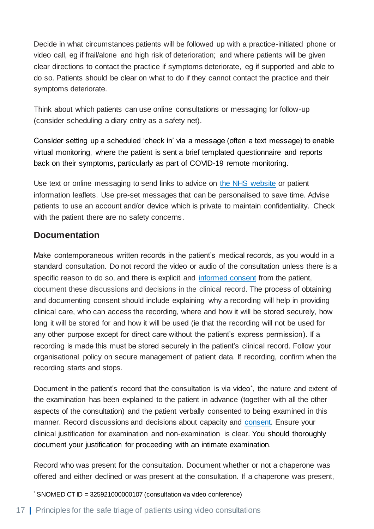Decide in what circumstances patients will be followed up with a practice-initiated phone or video call, eg if frail/alone and high risk of deterioration; and where patients will be given clear directions to contact the practice if symptoms deteriorate, eg if supported and able to do so. Patients should be clear on what to do if they cannot contact the practice and their symptoms deteriorate.

Think about which patients can use online consultations or messaging for follow-up (consider scheduling a diary entry as a safety net).

Consider setting up a scheduled 'check in' via a message (often a text message) to enable virtual monitoring, where the patient is sent a brief templated questionnaire and reports back on their symptoms, particularly as part of COVID-19 remote monitoring.

Use text or online messaging to send links to advice on [the NHS website](https://www.nhs.uk/) or patient information leaflets. Use pre-set messages that can be personalised to save time. Advise patients to use an account and/or device which is private to maintain confidentiality. Check with the patient there are no safety concerns.

## <span id="page-17-0"></span>**Documentation**

Make contemporaneous written records in the patient's medical records, as you would in a standard consultation. Do not record the video or audio of the consultation unless there is a specific reason to do so, and there is explicit and [informed consent](https://www.gmc-uk.org/-/media/documents/making-and-using-visual-and-audio-recordings-of-patients_pdf-58838365.pdf?la=en&hash=682AF2947E542A4B1882563CA71181D011DB06FE) from the patient, document these discussions and decisions in the clinical record. The process of obtaining and documenting consent should include explaining why a recording will help in providing clinical care, who can access the recording, where and how it will be stored securely, how long it will be stored for and how it will be used (ie that the recording will not be used for any other purpose except for direct care without the patient's express permission). If a recording is made this must be stored securely in the patient's clinical record. Follow your organisational policy on secure management of patient data. If recording, confirm when the recording starts and stops.

Document in the patient's record that the consultation is via video<sup>\*</sup>, the nature and extent of the examination has been explained to the patient in advance (together with all the other aspects of the consultation) and the patient verbally consented to being examined in this manner. Record discussions and decisions about capacity and [consent.](https://www.gmc-uk.org/ethical-guidance/ethical-guidance-for-doctors/consent/part-2-making-decisions-about-investigations-and-treatment#paragraph-51) Ensure your clinical justification for examination and non-examination is clear. You should thoroughly document your justification for proceeding with an intimate examination.

Record who was present for the consultation. Document whether or not a chaperone was offered and either declined or was present at the consultation. If a chaperone was present,

 $*$  SNOMED CT ID = 325921000000107 (consultation via video conference)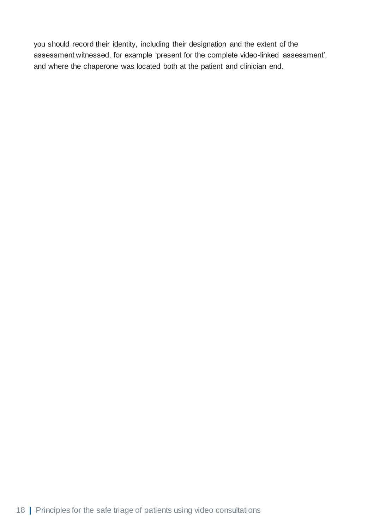you should record their identity, including their designation and the extent of the assessment witnessed, for example 'present for the complete video-linked assessment', and where the chaperone was located both at the patient and clinician end.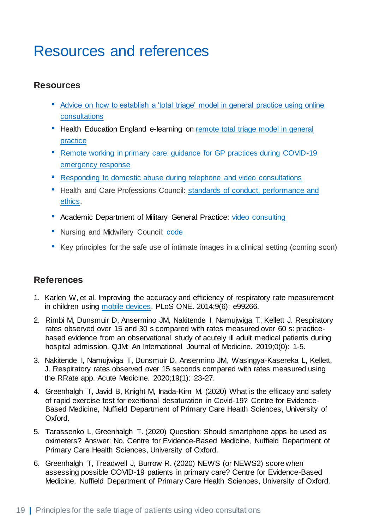## <span id="page-19-0"></span>Resources and references

## <span id="page-19-1"></span>**Resources**

- Advice on how to establish a 'total triage' model in general practice using online [consultations](https://www.england.nhs.uk/coronavirus/wp-content/uploads/sites/52/2020/03/C0098-Total-triage-blueprint-April-2020-v2.pdf)
- Health Education England e-learning on remote total triage model in general [practice](https://portal.e-lfh.org.uk/Component/Details/609561)
- [Remote working in primary care: guidance for GP practices during COVID-19](https://www.england.nhs.uk/coronavirus/wp-content/uploads/sites/52/2020/03/C0165-remote-working-in-primary-care-gp-practices-during-covid-19-v1.2.pdf)  [emergency response](https://www.england.nhs.uk/coronavirus/wp-content/uploads/sites/52/2020/03/C0165-remote-working-in-primary-care-gp-practices-during-covid-19-v1.2.pdf)
- [Responding to domestic abuse during telephone and video consultations](https://irisi.org/wp-content/uploads/2020/04/Guidance-for-General-Practice-Covid-19-FINAL.pdf)
- Health and Care Professions Council: [standards of conduct, performance and](https://www.hcpc-uk.org/standards/standards-of-conduct-performance-and-ethics/)  [ethics.](https://www.hcpc-uk.org/standards/standards-of-conduct-performance-and-ethics/)
- Academic Department of Military General Practice: [video consulting](https://bjgplife.com/wp-content/uploads/2020/05/Paper-BJGPLife-Infographic.pdf)
- Nursing and Midwifery Council: [code](https://www.nmc.org.uk/standards/code/read-the-code-online/)
- Key principles for the safe use of intimate images in a clinical setting (coming soon)

## <span id="page-19-2"></span>**References**

- 1. Karlen W, et al. Improving the accuracy and efficiency of respiratory rate measurement in children using [mobile devices.](https://apps.apple.com/us/app/rrate/id581390517) PLoS ONE. 2014;9(6): e99266.
- 2. Rimbi M, Dunsmuir D, Ansermino JM, Nakitende I, Namujwiga T, Kellett J. Respiratory rates observed over 15 and 30 s compared with rates measured over 60 s: practicebased evidence from an observational study of acutely ill adult medical patients during hospital admission. QJM: An International Journal of Medicine. 2019;0(0): 1-5.
- 3. Nakitende I, Namujwiga T, Dunsmuir D, Ansermino JM, Wasingya-Kasereka L, Kellett, J. Respiratory rates observed over 15 seconds compared with rates measured using the RRate app. Acute Medicine. 2020;19(1): 23-27.
- 4. Greenhalgh T, Javid B, Knight M, Inada-Kim M. (2020) What is the efficacy and safety of rapid exercise test for exertional desaturation in Covid-19? Centre for Evidence-Based Medicine, Nuffield Department of Primary Care Health Sciences, University of Oxford.
- 5. Tarassenko L, Greenhalgh T. (2020) Question: Should smartphone apps be used as oximeters? Answer: No. Centre for Evidence-Based Medicine, Nuffield Department of Primary Care Health Sciences, University of Oxford.
- 6. Greenhalgh T, Treadwell J, Burrow R. (2020) NEWS (or NEWS2) score when assessing possible COVID-19 patients in primary care? Centre for Evidence-Based Medicine, Nuffield Department of Primary Care Health Sciences, University of Oxford.